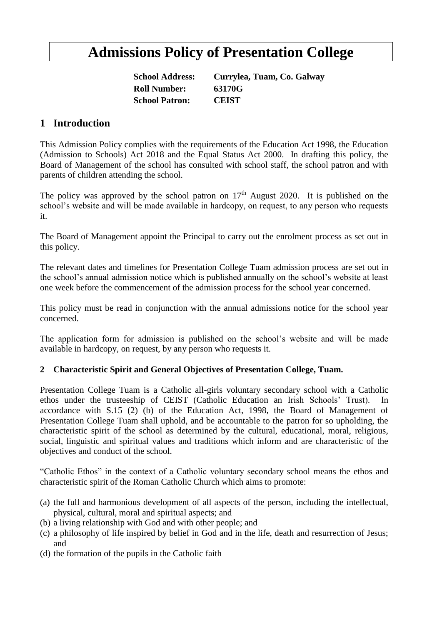# **Admissions Policy of Presentation College**

**Roll Number: 63170G School Patron: CEIST**

**School Address: Currylea, Tuam, Co. Galway**

# **1 Introduction**

This Admission Policy complies with the requirements of the Education Act 1998, the Education (Admission to Schools) Act 2018 and the Equal Status Act 2000. In drafting this policy, the Board of Management of the school has consulted with school staff, the school patron and with parents of children attending the school.

The policy was approved by the school patron on  $17<sup>th</sup>$  August 2020. It is published on the school's website and will be made available in hardcopy, on request, to any person who requests it.

The Board of Management appoint the Principal to carry out the enrolment process as set out in this policy.

The relevant dates and timelines for Presentation College Tuam admission process are set out in the school's annual admission notice which is published annually on the school's website at least one week before the commencement of the admission process for the school year concerned.

This policy must be read in conjunction with the annual admissions notice for the school year concerned.

The application form for admission is published on the school's website and will be made available in hardcopy, on request, by any person who requests it.

#### **2 Characteristic Spirit and General Objectives of Presentation College, Tuam.**

Presentation College Tuam is a Catholic all-girls voluntary secondary school with a Catholic ethos under the trusteeship of CEIST (Catholic Education an Irish Schools' Trust). In accordance with S.15 (2) (b) of the Education Act, 1998, the Board of Management of Presentation College Tuam shall uphold, and be accountable to the patron for so upholding, the characteristic spirit of the school as determined by the cultural, educational, moral, religious, social, linguistic and spiritual values and traditions which inform and are characteristic of the objectives and conduct of the school.

"Catholic Ethos" in the context of a Catholic voluntary secondary school means the ethos and characteristic spirit of the Roman Catholic Church which aims to promote:

- (a) the full and harmonious development of all aspects of the person, including the intellectual, physical, cultural, moral and spiritual aspects; and
- (b) a living relationship with God and with other people; and
- (c) a philosophy of life inspired by belief in God and in the life, death and resurrection of Jesus; and
- (d) the formation of the pupils in the Catholic faith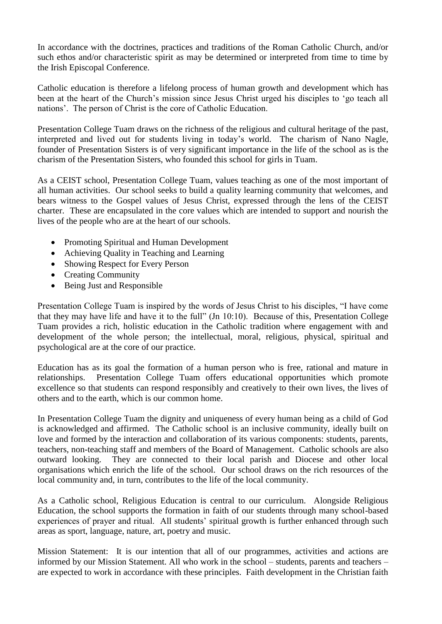In accordance with the doctrines, practices and traditions of the Roman Catholic Church, and/or such ethos and/or characteristic spirit as may be determined or interpreted from time to time by the Irish Episcopal Conference.

Catholic education is therefore a lifelong process of human growth and development which has been at the heart of the Church's mission since Jesus Christ urged his disciples to 'go teach all nations'. The person of Christ is the core of Catholic Education.

Presentation College Tuam draws on the richness of the religious and cultural heritage of the past, interpreted and lived out for students living in today's world. The charism of Nano Nagle, founder of Presentation Sisters is of very significant importance in the life of the school as is the charism of the Presentation Sisters, who founded this school for girls in Tuam.

As a CEIST school, Presentation College Tuam, values teaching as one of the most important of all human activities. Our school seeks to build a quality learning community that welcomes, and bears witness to the Gospel values of Jesus Christ, expressed through the lens of the CEIST charter. These are encapsulated in the core values which are intended to support and nourish the lives of the people who are at the heart of our schools.

- Promoting Spiritual and Human Development
- Achieving Quality in Teaching and Learning
- Showing Respect for Every Person
- Creating Community
- Being Just and Responsible

Presentation College Tuam is inspired by the words of Jesus Christ to his disciples, "I have come that they may have life and have it to the full" (Jn 10:10). Because of this, Presentation College Tuam provides a rich, holistic education in the Catholic tradition where engagement with and development of the whole person; the intellectual, moral, religious, physical, spiritual and psychological are at the core of our practice.

Education has as its goal the formation of a human person who is free, rational and mature in relationships. Presentation College Tuam offers educational opportunities which promote excellence so that students can respond responsibly and creatively to their own lives, the lives of others and to the earth, which is our common home.

In Presentation College Tuam the dignity and uniqueness of every human being as a child of God is acknowledged and affirmed. The Catholic school is an inclusive community, ideally built on love and formed by the interaction and collaboration of its various components: students, parents, teachers, non-teaching staff and members of the Board of Management. Catholic schools are also outward looking. They are connected to their local parish and Diocese and other local organisations which enrich the life of the school. Our school draws on the rich resources of the local community and, in turn, contributes to the life of the local community.

As a Catholic school, Religious Education is central to our curriculum. Alongside Religious Education, the school supports the formation in faith of our students through many school-based experiences of prayer and ritual. All students' spiritual growth is further enhanced through such areas as sport, language, nature, art, poetry and music.

Mission Statement: It is our intention that all of our programmes, activities and actions are informed by our Mission Statement. All who work in the school – students, parents and teachers – are expected to work in accordance with these principles. Faith development in the Christian faith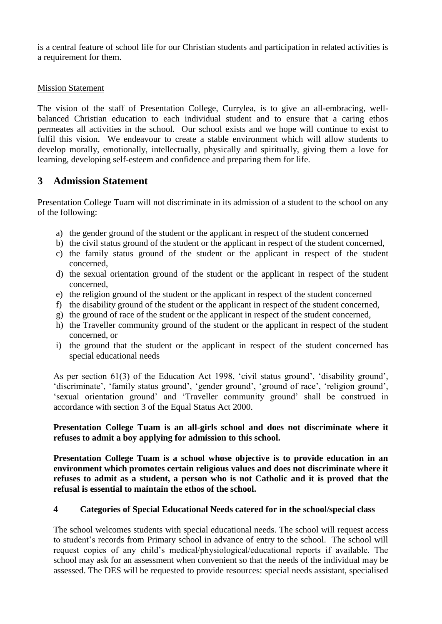is a central feature of school life for our Christian students and participation in related activities is a requirement for them.

#### Mission Statement

The vision of the staff of Presentation College, Currylea, is to give an all-embracing, wellbalanced Christian education to each individual student and to ensure that a caring ethos permeates all activities in the school. Our school exists and we hope will continue to exist to fulfil this vision. We endeavour to create a stable environment which will allow students to develop morally, emotionally, intellectually, physically and spiritually, giving them a love for learning, developing self-esteem and confidence and preparing them for life.

# **3 Admission Statement**

Presentation College Tuam will not discriminate in its admission of a student to the school on any of the following:

- a) the gender ground of the student or the applicant in respect of the student concerned
- b) the civil status ground of the student or the applicant in respect of the student concerned,
- c) the family status ground of the student or the applicant in respect of the student concerned,
- d) the sexual orientation ground of the student or the applicant in respect of the student concerned,
- e) the religion ground of the student or the applicant in respect of the student concerned
- f) the disability ground of the student or the applicant in respect of the student concerned,
- g) the ground of race of the student or the applicant in respect of the student concerned,
- h) the Traveller community ground of the student or the applicant in respect of the student concerned, or
- i) the ground that the student or the applicant in respect of the student concerned has special educational needs

As per section 61(3) of the Education Act 1998, 'civil status ground', 'disability ground', 'discriminate', 'family status ground', 'gender ground', 'ground of race', 'religion ground', 'sexual orientation ground' and 'Traveller community ground' shall be construed in accordance with section 3 of the Equal Status Act 2000.

#### **Presentation College Tuam is an all-girls school and does not discriminate where it refuses to admit a boy applying for admission to this school.**

**Presentation College Tuam is a school whose objective is to provide education in an environment which promotes certain religious values and does not discriminate where it refuses to admit as a student, a person who is not Catholic and it is proved that the refusal is essential to maintain the ethos of the school.**

#### **4 Categories of Special Educational Needs catered for in the school/special class**

The school welcomes students with special educational needs. The school will request access to student's records from Primary school in advance of entry to the school. The school will request copies of any child's medical/physiological/educational reports if available. The school may ask for an assessment when convenient so that the needs of the individual may be assessed. The DES will be requested to provide resources: special needs assistant, specialised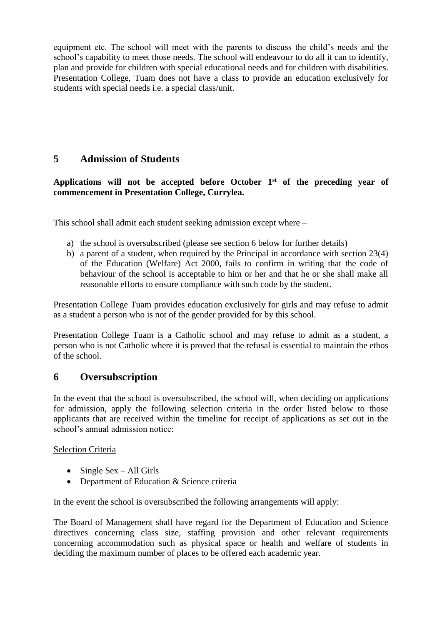equipment etc. The school will meet with the parents to discuss the child's needs and the school's capability to meet those needs. The school will endeavour to do all it can to identify, plan and provide for children with special educational needs and for children with disabilities. Presentation College, Tuam does not have a class to provide an education exclusively for students with special needs i.e. a special class/unit.

# **5 Admission of Students**

### **Applications will not be accepted before October 1st of the preceding year of commencement in Presentation College, Currylea.**

This school shall admit each student seeking admission except where –

- a) the school is oversubscribed (please see section 6 below for further details)
- b) a parent of a student, when required by the Principal in accordance with section 23(4) of the Education (Welfare) Act 2000, fails to confirm in writing that the code of behaviour of the school is acceptable to him or her and that he or she shall make all reasonable efforts to ensure compliance with such code by the student.

Presentation College Tuam provides education exclusively for girls and may refuse to admit as a student a person who is not of the gender provided for by this school.

Presentation College Tuam is a Catholic school and may refuse to admit as a student, a person who is not Catholic where it is proved that the refusal is essential to maintain the ethos of the school.

# **6 Oversubscription**

In the event that the school is oversubscribed, the school will, when deciding on applications for admission, apply the following selection criteria in the order listed below to those applicants that are received within the timeline for receipt of applications as set out in the school's annual admission notice:

### Selection Criteria

- $\bullet$  Single Sex All Girls
- Department of Education & Science criteria

In the event the school is oversubscribed the following arrangements will apply:

The Board of Management shall have regard for the Department of Education and Science directives concerning class size, staffing provision and other relevant requirements concerning accommodation such as physical space or health and welfare of students in deciding the maximum number of places to be offered each academic year.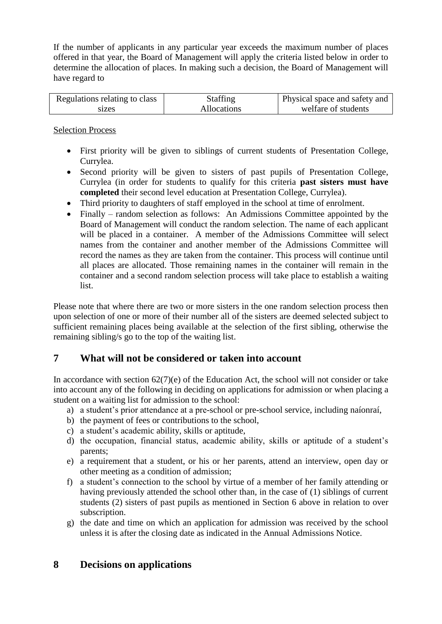If the number of applicants in any particular year exceeds the maximum number of places offered in that year, the Board of Management will apply the criteria listed below in order to determine the allocation of places. In making such a decision, the Board of Management will have regard to

| Regulations relating to class | <b>Staffing</b> | Physical space and safety and |
|-------------------------------|-----------------|-------------------------------|
| sizes                         | Allocations     | welfare of students           |

Selection Process

- First priority will be given to siblings of current students of Presentation College, Currylea.
- Second priority will be given to sisters of past pupils of Presentation College, Currylea (in order for students to qualify for this criteria **past sisters must have completed** their second level education at Presentation College, Currylea).
- Third priority to daughters of staff employed in the school at time of enrolment.
- Finally random selection as follows: An Admissions Committee appointed by the Board of Management will conduct the random selection. The name of each applicant will be placed in a container. A member of the Admissions Committee will select names from the container and another member of the Admissions Committee will record the names as they are taken from the container. This process will continue until all places are allocated. Those remaining names in the container will remain in the container and a second random selection process will take place to establish a waiting list.

Please note that where there are two or more sisters in the one random selection process then upon selection of one or more of their number all of the sisters are deemed selected subject to sufficient remaining places being available at the selection of the first sibling, otherwise the remaining sibling/s go to the top of the waiting list.

### **7 What will not be considered or taken into account**

In accordance with section 62(7)(e) of the Education Act, the school will not consider or take into account any of the following in deciding on applications for admission or when placing a student on a waiting list for admission to the school:

- a) a student's prior attendance at a pre-school or pre-school service, including naíonraí,
- b) the payment of fees or contributions to the school,
- c) a student's academic ability, skills or aptitude,
- d) the occupation, financial status, academic ability, skills or aptitude of a student's parents;
- e) a requirement that a student, or his or her parents, attend an interview, open day or other meeting as a condition of admission;
- f) a student's connection to the school by virtue of a member of her family attending or having previously attended the school other than, in the case of (1) siblings of current students (2) sisters of past pupils as mentioned in Section 6 above in relation to over subscription.
- g) the date and time on which an application for admission was received by the school unless it is after the closing date as indicated in the Annual Admissions Notice.

### **8 Decisions on applications**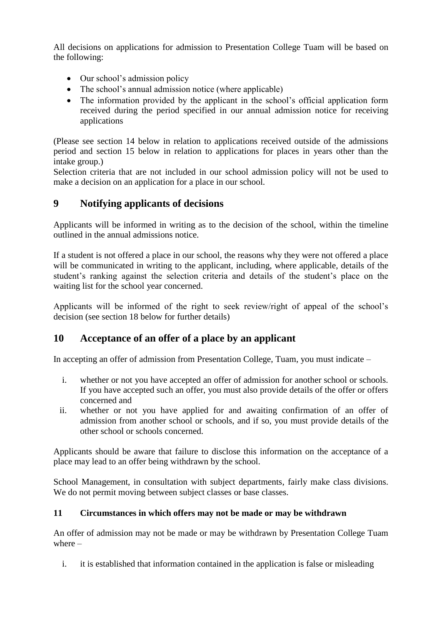All decisions on applications for admission to Presentation College Tuam will be based on the following:

- Our school's admission policy
- The school's annual admission notice (where applicable)
- The information provided by the applicant in the school's official application form received during the period specified in our annual admission notice for receiving applications

(Please see section 14 below in relation to applications received outside of the admissions period and section 15 below in relation to applications for places in years other than the intake group.)

Selection criteria that are not included in our school admission policy will not be used to make a decision on an application for a place in our school.

# **9 Notifying applicants of decisions**

Applicants will be informed in writing as to the decision of the school, within the timeline outlined in the annual admissions notice.

If a student is not offered a place in our school, the reasons why they were not offered a place will be communicated in writing to the applicant, including, where applicable, details of the student's ranking against the selection criteria and details of the student's place on the waiting list for the school year concerned.

Applicants will be informed of the right to seek review/right of appeal of the school's decision (see section 18 below for further details)

# **10 Acceptance of an offer of a place by an applicant**

In accepting an offer of admission from Presentation College, Tuam, you must indicate –

- i. whether or not you have accepted an offer of admission for another school or schools. If you have accepted such an offer, you must also provide details of the offer or offers concerned and
- ii. whether or not you have applied for and awaiting confirmation of an offer of admission from another school or schools, and if so, you must provide details of the other school or schools concerned.

Applicants should be aware that failure to disclose this information on the acceptance of a place may lead to an offer being withdrawn by the school.

School Management, in consultation with subject departments, fairly make class divisions. We do not permit moving between subject classes or base classes.

### **11 Circumstances in which offers may not be made or may be withdrawn**

An offer of admission may not be made or may be withdrawn by Presentation College Tuam where –

i. it is established that information contained in the application is false or misleading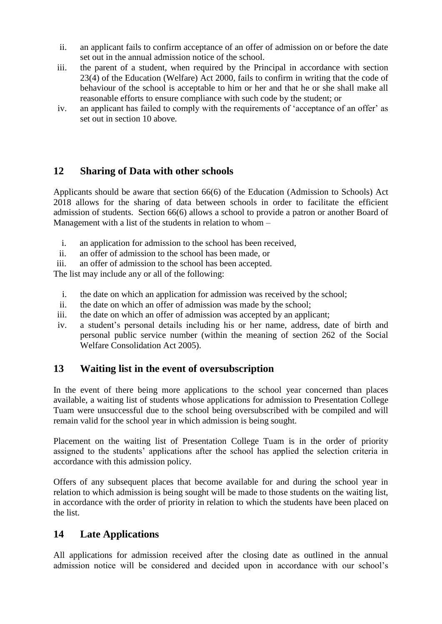- ii. an applicant fails to confirm acceptance of an offer of admission on or before the date set out in the annual admission notice of the school.
- iii. the parent of a student, when required by the Principal in accordance with section 23(4) of the Education (Welfare) Act 2000, fails to confirm in writing that the code of behaviour of the school is acceptable to him or her and that he or she shall make all reasonable efforts to ensure compliance with such code by the student; or
- iv. an applicant has failed to comply with the requirements of 'acceptance of an offer' as set out in section 10 above.

# **12 Sharing of Data with other schools**

Applicants should be aware that section 66(6) of the Education (Admission to Schools) Act 2018 allows for the sharing of data between schools in order to facilitate the efficient admission of students. Section 66(6) allows a school to provide a patron or another Board of Management with a list of the students in relation to whom –

- i. an application for admission to the school has been received,
- ii. an offer of admission to the school has been made, or
- iii. an offer of admission to the school has been accepted.

The list may include any or all of the following:

- i. the date on which an application for admission was received by the school;
- ii. the date on which an offer of admission was made by the school;
- iii. the date on which an offer of admission was accepted by an applicant;
- iv. a student's personal details including his or her name, address, date of birth and personal public service number (within the meaning of section 262 of the Social Welfare Consolidation Act 2005).

# **13 Waiting list in the event of oversubscription**

In the event of there being more applications to the school year concerned than places available, a waiting list of students whose applications for admission to Presentation College Tuam were unsuccessful due to the school being oversubscribed with be compiled and will remain valid for the school year in which admission is being sought.

Placement on the waiting list of Presentation College Tuam is in the order of priority assigned to the students' applications after the school has applied the selection criteria in accordance with this admission policy.

Offers of any subsequent places that become available for and during the school year in relation to which admission is being sought will be made to those students on the waiting list, in accordance with the order of priority in relation to which the students have been placed on the list.

# **14 Late Applications**

All applications for admission received after the closing date as outlined in the annual admission notice will be considered and decided upon in accordance with our school's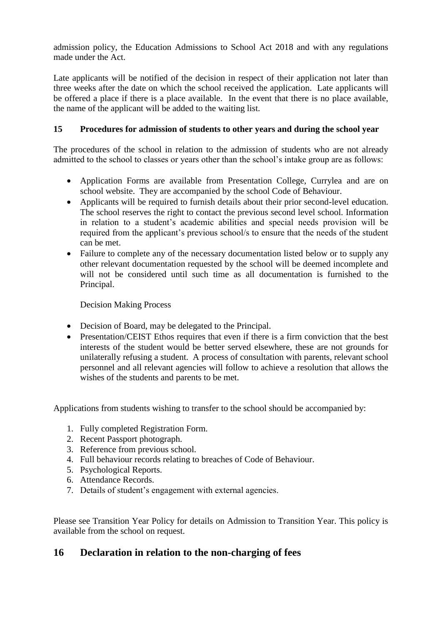admission policy, the Education Admissions to School Act 2018 and with any regulations made under the Act.

Late applicants will be notified of the decision in respect of their application not later than three weeks after the date on which the school received the application. Late applicants will be offered a place if there is a place available. In the event that there is no place available, the name of the applicant will be added to the waiting list.

### **15 Procedures for admission of students to other years and during the school year**

The procedures of the school in relation to the admission of students who are not already admitted to the school to classes or years other than the school's intake group are as follows:

- Application Forms are available from Presentation College, Currylea and are on school website. They are accompanied by the school Code of Behaviour.
- Applicants will be required to furnish details about their prior second-level education. The school reserves the right to contact the previous second level school. Information in relation to a student's academic abilities and special needs provision will be required from the applicant's previous school/s to ensure that the needs of the student can be met.
- Failure to complete any of the necessary documentation listed below or to supply any other relevant documentation requested by the school will be deemed incomplete and will not be considered until such time as all documentation is furnished to the Principal.

Decision Making Process

- Decision of Board, may be delegated to the Principal.
- Presentation/CEIST Ethos requires that even if there is a firm conviction that the best interests of the student would be better served elsewhere, these are not grounds for unilaterally refusing a student. A process of consultation with parents, relevant school personnel and all relevant agencies will follow to achieve a resolution that allows the wishes of the students and parents to be met.

Applications from students wishing to transfer to the school should be accompanied by:

- 1. Fully completed Registration Form.
- 2. Recent Passport photograph.
- 3. Reference from previous school.
- 4. Full behaviour records relating to breaches of Code of Behaviour.
- 5. Psychological Reports.
- 6. Attendance Records.
- 7. Details of student's engagement with external agencies.

Please see Transition Year Policy for details on Admission to Transition Year. This policy is available from the school on request.

# **16 Declaration in relation to the non-charging of fees**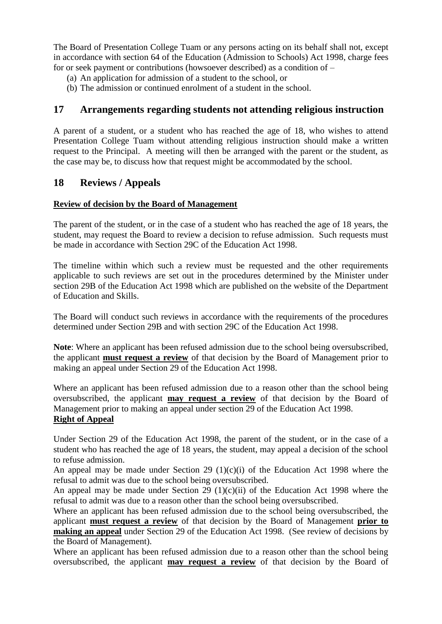The Board of Presentation College Tuam or any persons acting on its behalf shall not, except in accordance with section 64 of the Education (Admission to Schools) Act 1998, charge fees for or seek payment or contributions (howsoever described) as a condition of –

- (a) An application for admission of a student to the school, or
- (b) The admission or continued enrolment of a student in the school.

### **17 Arrangements regarding students not attending religious instruction**

A parent of a student, or a student who has reached the age of 18, who wishes to attend Presentation College Tuam without attending religious instruction should make a written request to the Principal. A meeting will then be arranged with the parent or the student, as the case may be, to discuss how that request might be accommodated by the school.

### **18 Reviews / Appeals**

#### **Review of decision by the Board of Management**

The parent of the student, or in the case of a student who has reached the age of 18 years, the student, may request the Board to review a decision to refuse admission. Such requests must be made in accordance with Section 29C of the Education Act 1998.

The timeline within which such a review must be requested and the other requirements applicable to such reviews are set out in the procedures determined by the Minister under section 29B of the Education Act 1998 which are published on the website of the Department of Education and Skills.

The Board will conduct such reviews in accordance with the requirements of the procedures determined under Section 29B and with section 29C of the Education Act 1998.

**Note**: Where an applicant has been refused admission due to the school being oversubscribed, the applicant **must request a review** of that decision by the Board of Management prior to making an appeal under Section 29 of the Education Act 1998.

Where an applicant has been refused admission due to a reason other than the school being oversubscribed, the applicant **may request a review** of that decision by the Board of Management prior to making an appeal under section 29 of the Education Act 1998. **Right of Appeal**

Under Section 29 of the Education Act 1998, the parent of the student, or in the case of a student who has reached the age of 18 years, the student, may appeal a decision of the school to refuse admission.

An appeal may be made under Section 29 (1)(c)(i) of the Education Act 1998 where the refusal to admit was due to the school being oversubscribed.

An appeal may be made under Section 29 (1)(c)(ii) of the Education Act 1998 where the refusal to admit was due to a reason other than the school being oversubscribed.

Where an applicant has been refused admission due to the school being oversubscribed, the applicant **must request a review** of that decision by the Board of Management **prior to making an appeal** under Section 29 of the Education Act 1998. (See review of decisions by the Board of Management).

Where an applicant has been refused admission due to a reason other than the school being oversubscribed, the applicant **may request a review** of that decision by the Board of